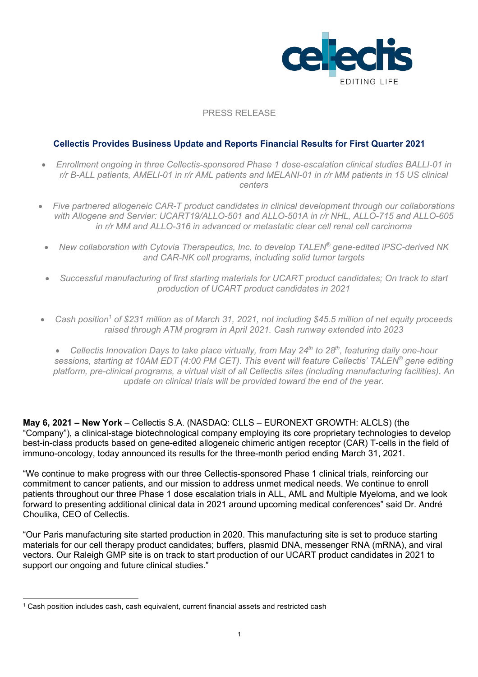

### PRESS RELEASE

## **Cellectis Provides Business Update and Reports Financial Results for First Quarter 2021**

- *Enrollment ongoing in three Cellectis-sponsored Phase 1 dose-escalation clinical studies BALLI-01 in r/r B-ALL patients, AMELI-01 in r/r AML patients and MELANI-01 in r/r MM patients in 15 US clinical centers*
- *Five partnered allogeneic CAR-T product candidates in clinical development through our collaborations* with Allogene and Servier: UCART19/ALLO-501 and ALLO-501A in r/r NHL, ALLO-715 and ALLO-605 *in r/r MM and ALLO-316 in advanced or metastatic clear cell renal cell carcinoma*
- *New collaboration with Cytovia Therapeutics, Inc. to develop TALEN® gene-edited iPSC-derived NK and CAR-NK cell programs, including solid tumor targets*
- *Successful manufacturing of first starting materials for UCART product candidates; On track to start production of UCART product candidates in 2021*
- *Cash position<sup>1</sup> of \$231 million as of March 31, 2021, not including \$45.5 million of net equity proceeds raised through ATM program in April 2021. Cash runway extended into 2023*

• *Cellectis Innovation Days to take place virtually, from May 24th to 28th, featuring daily one-hour sessions, starting at 10AM EDT (4:00 PM CET). This event will feature Cellectis' TALEN® gene editing platform, pre-clinical programs, a virtual visit of all Cellectis sites (including manufacturing facilities). An update on clinical trials will be provided toward the end of the year.*

**May 6, 2021 – New York** – Cellectis S.A. (NASDAQ: CLLS – EURONEXT GROWTH: ALCLS) (the "Company"), a clinical-stage biotechnological company employing its core proprietary technologies to develop best-in-class products based on gene-edited allogeneic chimeric antigen receptor (CAR) T-cells in the field of immuno-oncology, today announced its results for the three-month period ending March 31, 2021.

"We continue to make progress with our three Cellectis-sponsored Phase 1 clinical trials, reinforcing our commitment to cancer patients, and our mission to address unmet medical needs. We continue to enroll patients throughout our three Phase 1 dose escalation trials in ALL, AML and Multiple Myeloma, and we look forward to presenting additional clinical data in 2021 around upcoming medical conferences" said Dr. André Choulika, CEO of Cellectis.

"Our Paris manufacturing site started production in 2020. This manufacturing site is set to produce starting materials for our cell therapy product candidates; buffers, plasmid DNA, messenger RNA (mRNA), and viral vectors. Our Raleigh GMP site is on track to start production of our UCART product candidates in 2021 to support our ongoing and future clinical studies."

<sup>1</sup> Cash position includes cash, cash equivalent, current financial assets and restricted cash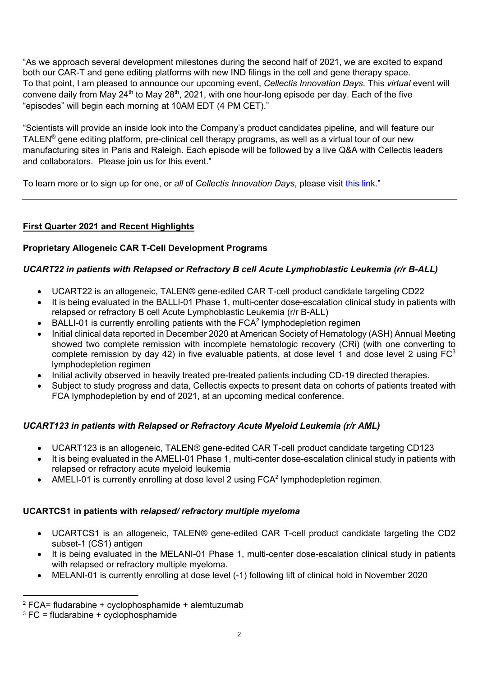"As we approach several development milestones during the second half of 2021, we are excited to expand both our CAR-T and gene editing platforms with new IND filings in the cell and gene therapy space. To that point, I am pleased to announce our upcoming event, *Cellectis Innovation Days*. This *virtual* event will convene daily from May  $24^{th}$  to May  $28^{th}$ , 2021, with one hour-long episode per day. Each of the five "episodes" will begin each morning at 10AM EDT (4 PM CET)."

"Scientists will provide an inside look into the Company's product candidates pipeline, and will feature our TALEN® gene editing platform, pre-clinical cell therapy programs, as well as a virtual tour of our new manufacturing sites in Paris and Raleigh. Each episode will be followed by a live Q&A with Cellectis leaders and collaborators. Please join us for this event."

To learn more or to sign up for one, or *all* of *Cellectis Innovation Days*, please visit this link."

# **First Quarter 2021 and Recent Highlights**

# **Proprietary Allogeneic CAR T-Cell Development Programs**

# *UCART22 in patients with Relapsed or Refractory B cell Acute Lymphoblastic Leukemia (r/r B-ALL)*

- UCART22 is an allogeneic, TALEN® gene-edited CAR T-cell product candidate targeting CD22
- It is being evaluated in the BALLI-01 Phase 1, multi-center dose-escalation clinical study in patients with relapsed or refractory B cell Acute Lymphoblastic Leukemia (r/r B-ALL)
- BALLI-01 is currently enrolling patients with the  $FCA<sup>2</sup>$  lymphodepletion regimen
- Initial clinical data reported in December 2020 at American Society of Hematology (ASH) Annual Meeting showed two complete remission with incomplete hematologic recovery (CRi) (with one converting to complete remission by day 42) in five evaluable patients, at dose level 1 and dose level 2 using  $FC<sup>3</sup>$ lymphodepletion regimen
- Initial activity observed in heavily treated pre-treated patients including CD-19 directed therapies.
- Subject to study progress and data, Cellectis expects to present data on cohorts of patients treated with FCA lymphodepletion by end of 2021, at an upcoming medical conference.

# *UCART123 in patients with Relapsed or Refractory Acute Myeloid Leukemia (r/r AML)*

- UCART123 is an allogeneic, TALEN® gene-edited CAR T-cell product candidate targeting CD123
- It is being evaluated in the AMELI-01 Phase 1, multi-center dose-escalation clinical study in patients with relapsed or refractory acute myeloid leukemia
- AMELI-01 is currently enrolling at dose level 2 using FCA<sup>2</sup> lymphodepletion regimen.

## **UCARTCS1 in patients with** *relapsed/ refractory multiple myeloma*

- UCARTCS1 is an allogeneic, TALEN® gene-edited CAR T-cell product candidate targeting the CD2 subset-1 (CS1) antigen
- It is being evaluated in the MELANI-01 Phase 1, multi-center dose-escalation clinical study in patients with relapsed or refractory multiple myeloma.
- MELANI-01 is currently enrolling at dose level (-1) following lift of clinical hold in November 2020

 $2$  FCA= fludarabine + cyclophosphamide + alemtuzumab

 $3$  FC = fludarabine + cyclophosphamide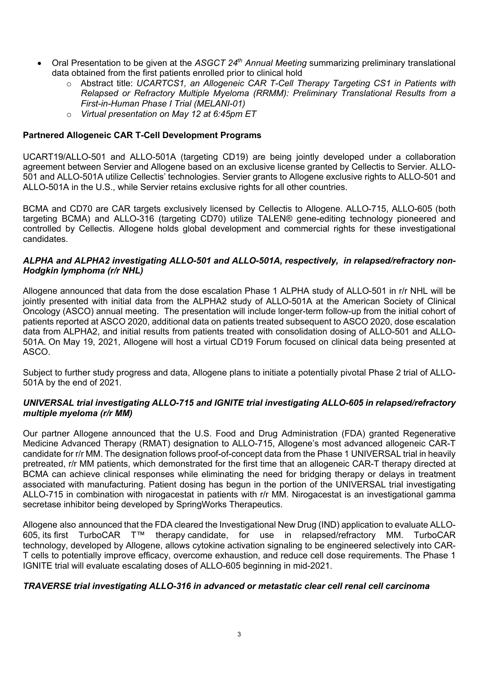- Oral Presentation to be given at the *ASGCT 24th Annual Meeting* summarizing preliminary translational data obtained from the first patients enrolled prior to clinical hold
	- o Abstract title: *UCARTCS1, an Allogeneic CAR T-Cell Therapy Targeting CS1 in Patients with Relapsed or Refractory Multiple Myeloma (RRMM): Preliminary Translational Results from a First-in-Human Phase I Trial (MELANI-01)*
	- o *Virtual presentation on May 12 at 6:45pm ET*

### **Partnered Allogeneic CAR T-Cell Development Programs**

UCART19/ALLO-501 and ALLO-501A (targeting CD19) are being jointly developed under a collaboration agreement between Servier and Allogene based on an exclusive license granted by Cellectis to Servier. ALLO-501 and ALLO-501A utilize Cellectis' technologies. Servier grants to Allogene exclusive rights to ALLO-501 and ALLO-501A in the U.S., while Servier retains exclusive rights for all other countries.

BCMA and CD70 are CAR targets exclusively licensed by Cellectis to Allogene. ALLO-715, ALLO-605 (both targeting BCMA) and ALLO-316 (targeting CD70) utilize TALEN® gene-editing technology pioneered and controlled by Cellectis. Allogene holds global development and commercial rights for these investigational candidates.

#### *ALPHA and ALPHA2 investigating ALLO-501 and ALLO-501A, respectively, in relapsed/refractory non-Hodgkin lymphoma (r/r NHL)*

Allogene announced that data from the dose escalation Phase 1 ALPHA study of ALLO-501 in r/r NHL will be jointly presented with initial data from the ALPHA2 study of ALLO-501A at the American Society of Clinical Oncology (ASCO) annual meeting. The presentation will include longer-term follow-up from the initial cohort of patients reported at ASCO 2020, additional data on patients treated subsequent to ASCO 2020, dose escalation data from ALPHA2, and initial results from patients treated with consolidation dosing of ALLO-501 and ALLO-501A. On May 19, 2021, Allogene will host a virtual CD19 Forum focused on clinical data being presented at ASCO.

Subject to further study progress and data, Allogene plans to initiate a potentially pivotal Phase 2 trial of ALLO-501A by the end of 2021.

### *UNIVERSAL trial investigating ALLO-715 and IGNITE trial investigating ALLO-605 in relapsed/refractory multiple myeloma (r/r MM)*

Our partner Allogene announced that the U.S. Food and Drug Administration (FDA) granted Regenerative Medicine Advanced Therapy (RMAT) designation to ALLO-715, Allogene's most advanced allogeneic CAR-T candidate for r/r MM. The designation follows proof-of-concept data from the Phase 1 UNIVERSAL trial in heavily pretreated, r/r MM patients, which demonstrated for the first time that an allogeneic CAR-T therapy directed at BCMA can achieve clinical responses while eliminating the need for bridging therapy or delays in treatment associated with manufacturing. Patient dosing has begun in the portion of the UNIVERSAL trial investigating ALLO-715 in combination with nirogacestat in patients with r/r MM. Nirogacestat is an investigational gamma secretase inhibitor being developed by SpringWorks Therapeutics.

Allogene also announced that the FDA cleared the Investigational New Drug (IND) application to evaluate ALLO-605, its first TurboCAR T™ therapy candidate, for use in relapsed/refractory MM. TurboCAR technology, developed by Allogene, allows cytokine activation signaling to be engineered selectively into CAR-T cells to potentially improve efficacy, overcome exhaustion, and reduce cell dose requirements. The Phase 1 IGNITE trial will evaluate escalating doses of ALLO-605 beginning in mid-2021.

#### *TRAVERSE trial investigating ALLO-316 in advanced or metastatic clear cell renal cell carcinoma*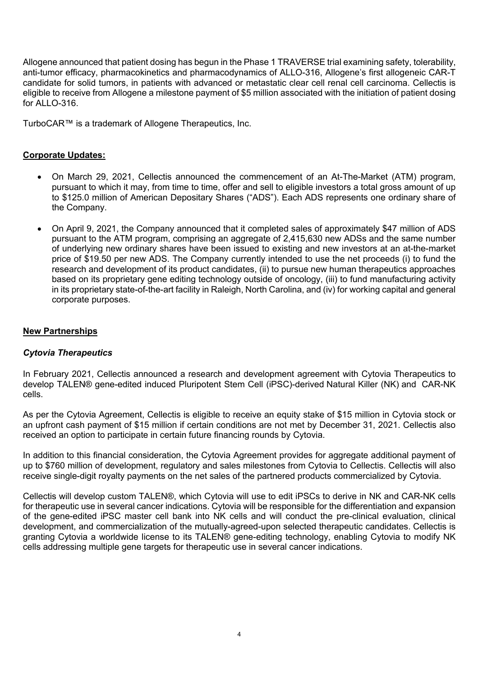Allogene announced that patient dosing has begun in the Phase 1 TRAVERSE trial examining safety, tolerability, anti-tumor efficacy, pharmacokinetics and pharmacodynamics of ALLO-316, Allogene's first allogeneic CAR-T candidate for solid tumors, in patients with advanced or metastatic clear cell renal cell carcinoma. Cellectis is eligible to receive from Allogene a milestone payment of \$5 million associated with the initiation of patient dosing for ALLO-316.

TurboCAR™ is a trademark of Allogene Therapeutics, Inc.

## **Corporate Updates:**

- On March 29, 2021, Cellectis announced the commencement of an At-The-Market (ATM) program, pursuant to which it may, from time to time, offer and sell to eligible investors a total gross amount of up to \$125.0 million of American Depositary Shares ("ADS"). Each ADS represents one ordinary share of the Company.
- On April 9, 2021, the Company announced that it completed sales of approximately \$47 million of ADS pursuant to the ATM program, comprising an aggregate of 2,415,630 new ADSs and the same number of underlying new ordinary shares have been issued to existing and new investors at an at-the-market price of \$19.50 per new ADS. The Company currently intended to use the net proceeds (i) to fund the research and development of its product candidates, (ii) to pursue new human therapeutics approaches based on its proprietary gene editing technology outside of oncology, (iii) to fund manufacturing activity in its proprietary state-of-the-art facility in Raleigh, North Carolina, and (iv) for working capital and general corporate purposes.

#### **New Partnerships**

### *Cytovia Therapeutics*

In February 2021, Cellectis announced a research and development agreement with Cytovia Therapeutics to develop TALEN® gene-edited induced Pluripotent Stem Cell (iPSC)-derived Natural Killer (NK) and CAR-NK cells.

As per the Cytovia Agreement, Cellectis is eligible to receive an equity stake of \$15 million in Cytovia stock or an upfront cash payment of \$15 million if certain conditions are not met by December 31, 2021. Cellectis also received an option to participate in certain future financing rounds by Cytovia.

In addition to this financial consideration, the Cytovia Agreement provides for aggregate additional payment of up to \$760 million of development, regulatory and sales milestones from Cytovia to Cellectis. Cellectis will also receive single-digit royalty payments on the net sales of the partnered products commercialized by Cytovia.

Cellectis will develop custom TALEN®, which Cytovia will use to edit iPSCs to derive in NK and CAR-NK cells for therapeutic use in several cancer indications. Cytovia will be responsible for the differentiation and expansion of the gene-edited iPSC master cell bank into NK cells and will conduct the pre-clinical evaluation, clinical development, and commercialization of the mutually-agreed-upon selected therapeutic candidates. Cellectis is granting Cytovia a worldwide license to its TALEN® gene-editing technology, enabling Cytovia to modify NK cells addressing multiple gene targets for therapeutic use in several cancer indications.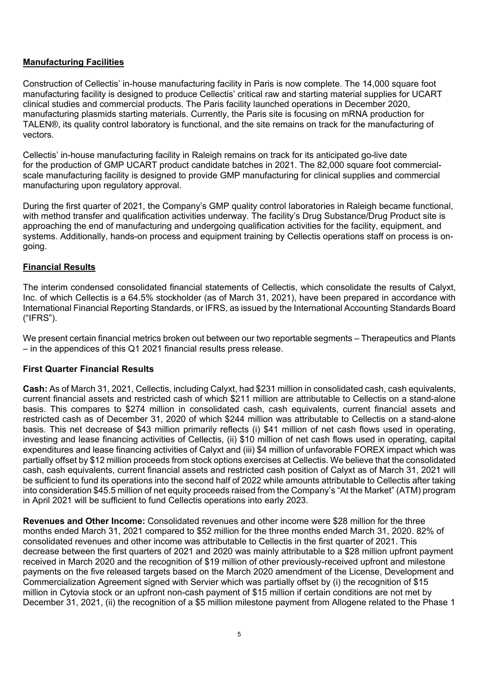### **Manufacturing Facilities**

Construction of Cellectis' in-house manufacturing facility in Paris is now complete. The 14,000 square foot manufacturing facility is designed to produce Cellectis' critical raw and starting material supplies for UCART clinical studies and commercial products. The Paris facility launched operations in December 2020, manufacturing plasmids starting materials. Currently, the Paris site is focusing on mRNA production for TALEN®, its quality control laboratory is functional, and the site remains on track for the manufacturing of vectors.

Cellectis' in-house manufacturing facility in Raleigh remains on track for its anticipated go-live date for the production of GMP UCART product candidate batches in 2021. The 82,000 square foot commercialscale manufacturing facility is designed to provide GMP manufacturing for clinical supplies and commercial manufacturing upon regulatory approval.

During the first quarter of 2021, the Company's GMP quality control laboratories in Raleigh became functional, with method transfer and qualification activities underway. The facility's Drug Substance/Drug Product site is approaching the end of manufacturing and undergoing qualification activities for the facility, equipment, and systems. Additionally, hands-on process and equipment training by Cellectis operations staff on process is ongoing.

### **Financial Results**

The interim condensed consolidated financial statements of Cellectis, which consolidate the results of Calyxt, Inc. of which Cellectis is a 64.5% stockholder (as of March 31, 2021), have been prepared in accordance with International Financial Reporting Standards, or IFRS, as issued by the International Accounting Standards Board ("IFRS").

We present certain financial metrics broken out between our two reportable segments – Therapeutics and Plants – in the appendices of this Q1 2021 financial results press release.

### **First Quarter Financial Results**

**Cash:** As of March 31, 2021, Cellectis, including Calyxt, had \$231 million in consolidated cash, cash equivalents, current financial assets and restricted cash of which \$211 million are attributable to Cellectis on a stand-alone basis. This compares to \$274 million in consolidated cash, cash equivalents, current financial assets and restricted cash as of December 31, 2020 of which \$244 million was attributable to Cellectis on a stand-alone basis. This net decrease of \$43 million primarily reflects (i) \$41 million of net cash flows used in operating, investing and lease financing activities of Cellectis, (ii) \$10 million of net cash flows used in operating, capital expenditures and lease financing activities of Calyxt and (iii) \$4 million of unfavorable FOREX impact which was partially offset by \$12 million proceeds from stock options exercises at Cellectis. We believe that the consolidated cash, cash equivalents, current financial assets and restricted cash position of Calyxt as of March 31, 2021 will be sufficient to fund its operations into the second half of 2022 while amounts attributable to Cellectis after taking into consideration \$45.5 million of net equity proceeds raised from the Company's "At the Market" (ATM) program in April 2021 will be sufficient to fund Cellectis operations into early 2023.

**Revenues and Other Income:** Consolidated revenues and other income were \$28 million for the three months ended March 31, 2021 compared to \$52 million for the three months ended March 31, 2020. 82% of consolidated revenues and other income was attributable to Cellectis in the first quarter of 2021. This decrease between the first quarters of 2021 and 2020 was mainly attributable to a \$28 million upfront payment received in March 2020 and the recognition of \$19 million of other previously-received upfront and milestone payments on the five released targets based on the March 2020 amendment of the License, Development and Commercialization Agreement signed with Servier which was partially offset by (i) the recognition of \$15 million in Cytovia stock or an upfront non-cash payment of \$15 million if certain conditions are not met by December 31, 2021, (ii) the recognition of a \$5 million milestone payment from Allogene related to the Phase 1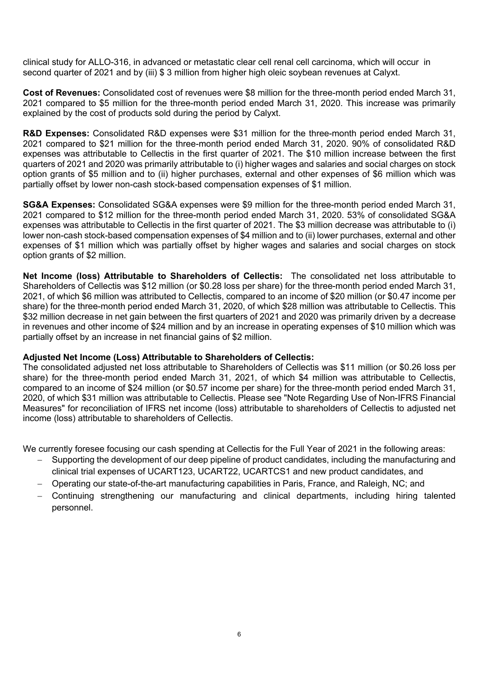clinical study for ALLO-316, in advanced or metastatic clear cell renal cell carcinoma, which will occur in second quarter of 2021 and by (iii) \$ 3 million from higher high oleic soybean revenues at Calyxt.

**Cost of Revenues:** Consolidated cost of revenues were \$8 million for the three-month period ended March 31, 2021 compared to \$5 million for the three-month period ended March 31, 2020. This increase was primarily explained by the cost of products sold during the period by Calyxt.

**R&D Expenses:** Consolidated R&D expenses were \$31 million for the three-month period ended March 31, 2021 compared to \$21 million for the three-month period ended March 31, 2020. 90% of consolidated R&D expenses was attributable to Cellectis in the first quarter of 2021. The \$10 million increase between the first quarters of 2021 and 2020 was primarily attributable to (i) higher wages and salaries and social charges on stock option grants of \$5 million and to (ii) higher purchases, external and other expenses of \$6 million which was partially offset by lower non-cash stock-based compensation expenses of \$1 million.

**SG&A Expenses:** Consolidated SG&A expenses were \$9 million for the three-month period ended March 31, 2021 compared to \$12 million for the three-month period ended March 31, 2020. 53% of consolidated SG&A expenses was attributable to Cellectis in the first quarter of 2021. The \$3 million decrease was attributable to (i) lower non-cash stock-based compensation expenses of \$4 million and to (ii) lower purchases, external and other expenses of \$1 million which was partially offset by higher wages and salaries and social charges on stock option grants of \$2 million.

**Net Income (loss) Attributable to Shareholders of Cellectis:** The consolidated net loss attributable to Shareholders of Cellectis was \$12 million (or \$0.28 loss per share) for the three-month period ended March 31, 2021, of which \$6 million was attributed to Cellectis, compared to an income of \$20 million (or \$0.47 income per share) for the three-month period ended March 31, 2020, of which \$28 million was attributable to Cellectis. This \$32 million decrease in net gain between the first quarters of 2021 and 2020 was primarily driven by a decrease in revenues and other income of \$24 million and by an increase in operating expenses of \$10 million which was partially offset by an increase in net financial gains of \$2 million.

### **Adjusted Net Income (Loss) Attributable to Shareholders of Cellectis:**

The consolidated adjusted net loss attributable to Shareholders of Cellectis was \$11 million (or \$0.26 loss per share) for the three-month period ended March 31, 2021, of which \$4 million was attributable to Cellectis, compared to an income of \$24 million (or \$0.57 income per share) for the three-month period ended March 31, 2020, of which \$31 million was attributable to Cellectis. Please see "Note Regarding Use of Non-IFRS Financial Measures" for reconciliation of IFRS net income (loss) attributable to shareholders of Cellectis to adjusted net income (loss) attributable to shareholders of Cellectis.

We currently foresee focusing our cash spending at Cellectis for the Full Year of 2021 in the following areas:

- Supporting the development of our deep pipeline of product candidates, including the manufacturing and clinical trial expenses of UCART123, UCART22, UCARTCS1 and new product candidates, and
- Operating our state-of-the-art manufacturing capabilities in Paris, France, and Raleigh, NC; and
- Continuing strengthening our manufacturing and clinical departments, including hiring talented personnel.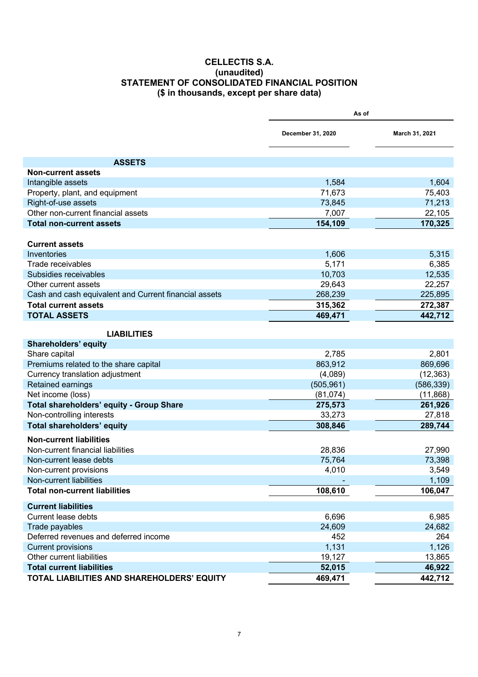### **CELLECTIS S.A. (unaudited) STATEMENT OF CONSOLIDATED FINANCIAL POSITION (\$ in thousands, except per share data)**

|                                                       | As of             |                |  |  |
|-------------------------------------------------------|-------------------|----------------|--|--|
|                                                       | December 31, 2020 | March 31, 2021 |  |  |
| <b>ASSETS</b>                                         |                   |                |  |  |
| <b>Non-current assets</b>                             |                   |                |  |  |
| Intangible assets                                     | 1,584             | 1,604          |  |  |
| Property, plant, and equipment                        | 71,673            | 75,403         |  |  |
| Right-of-use assets                                   | 73,845            | 71,213         |  |  |
| Other non-current financial assets                    | 7,007             | 22,105         |  |  |
| <b>Total non-current assets</b>                       | 154,109           | 170,325        |  |  |
| <b>Current assets</b>                                 |                   |                |  |  |
| Inventories                                           | 1,606             | 5,315          |  |  |
| Trade receivables                                     | 5,171             | 6,385          |  |  |
| Subsidies receivables                                 | 10,703            | 12,535         |  |  |
| Other current assets                                  | 29,643            | 22,257         |  |  |
| Cash and cash equivalent and Current financial assets | 268,239           | 225,895        |  |  |
| <b>Total current assets</b>                           | 315,362           | 272,387        |  |  |
| <b>TOTAL ASSETS</b>                                   | 469,471           | 442,712        |  |  |
| <b>LIABILITIES</b>                                    |                   |                |  |  |
| <b>Shareholders' equity</b>                           |                   |                |  |  |
| Share capital                                         | 2,785             | 2,801          |  |  |
| Premiums related to the share capital                 | 863,912           | 869,696        |  |  |
| Currency translation adjustment                       | (4,089)           | (12, 363)      |  |  |
| Retained earnings                                     | (505, 961)        | (586, 339)     |  |  |
| Net income (loss)                                     | (81,074)          | (11, 868)      |  |  |
| <b>Total shareholders' equity - Group Share</b>       | 275,573           | 261,926        |  |  |
| Non-controlling interests                             | 33,273            | 27,818         |  |  |
| <b>Total shareholders' equity</b>                     | 308,846           | 289,744        |  |  |
| <b>Non-current liabilities</b>                        |                   |                |  |  |
| Non-current financial liabilities                     | 28,836            | 27,990         |  |  |
| Non-current lease debts                               | 75,764            | 73,398         |  |  |
| Non-current provisions                                | 4,010             | 3,549          |  |  |
| Non-current liabilities                               |                   | 1,109          |  |  |
| <b>Total non-current liabilities</b>                  | 108,610           | 106,047        |  |  |
| <b>Current liabilities</b>                            |                   |                |  |  |
| <b>Current lease debts</b>                            | 6,696             | 6,985          |  |  |
| Trade payables                                        | 24,609            | 24,682         |  |  |
| Deferred revenues and deferred income                 | 452               | 264            |  |  |
| <b>Current provisions</b>                             | 1,131             | 1,126          |  |  |
| Other current liabilities                             | 19,127            | 13,865         |  |  |
| <b>Total current liabilities</b>                      | 52,015            | 46,922         |  |  |
| TOTAL LIABILITIES AND SHAREHOLDERS' EQUITY            | 469,471           | 442,712        |  |  |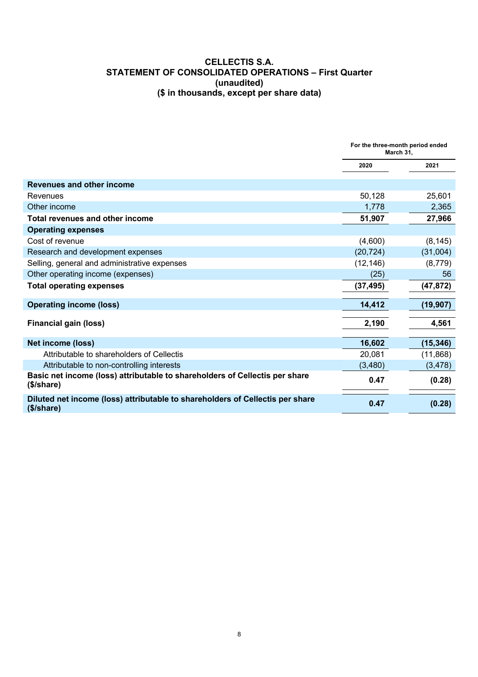### **CELLECTIS S.A. STATEMENT OF CONSOLIDATED OPERATIONS – First Quarter (unaudited) (\$ in thousands, except per share data)**

|                                                                                             | For the three-month period ended<br>March 31, |           |
|---------------------------------------------------------------------------------------------|-----------------------------------------------|-----------|
|                                                                                             | 2020                                          | 2021      |
| Revenues and other income                                                                   |                                               |           |
| Revenues                                                                                    | 50,128                                        | 25,601    |
| Other income                                                                                | 1,778                                         | 2,365     |
| Total revenues and other income                                                             | 51,907                                        | 27,966    |
| <b>Operating expenses</b>                                                                   |                                               |           |
| Cost of revenue                                                                             | (4,600)                                       | (8, 145)  |
| Research and development expenses                                                           | (20, 724)                                     | (31,004)  |
| Selling, general and administrative expenses                                                | (12, 146)                                     | (8,779)   |
| Other operating income (expenses)                                                           | (25)                                          | 56        |
| <b>Total operating expenses</b>                                                             | (37, 495)                                     | (47, 872) |
| <b>Operating income (loss)</b>                                                              | 14,412                                        | (19,907)  |
| <b>Financial gain (loss)</b>                                                                | 2,190                                         | 4,561     |
| Net income (loss)                                                                           | 16,602                                        | (15, 346) |
| Attributable to shareholders of Cellectis                                                   | 20,081                                        | (11, 868) |
| Attributable to non-controlling interests                                                   | (3,480)                                       | (3, 478)  |
| Basic net income (loss) attributable to shareholders of Cellectis per share<br>(\$/share)   | 0.47                                          | (0.28)    |
| Diluted net income (loss) attributable to shareholders of Cellectis per share<br>(\$/share) | 0.47                                          | (0.28)    |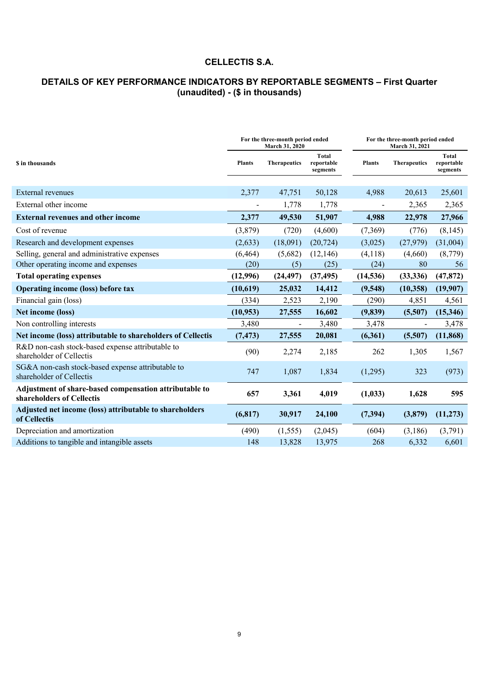# **CELLECTIS S.A.**

# **DETAILS OF KEY PERFORMANCE INDICATORS BY REPORTABLE SEGMENTS – First Quarter (unaudited) - (\$ in thousands)**

| For the three-month period ended<br>March 31, 2020                                  |               |                     | For the three-month period ended<br>March 31, 2021 |               |                     |                                 |
|-------------------------------------------------------------------------------------|---------------|---------------------|----------------------------------------------------|---------------|---------------------|---------------------------------|
| <b>S</b> in thousands                                                               | <b>Plants</b> | <b>Therapeutics</b> | Total<br>reportable<br>segments                    | <b>Plants</b> | <b>Therapeutics</b> | Total<br>reportable<br>segments |
| External revenues                                                                   | 2,377         | 47,751              | 50,128                                             | 4,988         | 20,613              | 25,601                          |
| External other income                                                               |               | 1,778               | 1,778                                              |               | 2,365               | 2,365                           |
| <b>External revenues and other income</b>                                           | 2,377         | 49,530              | 51,907                                             | 4,988         | 22,978              | 27,966                          |
| Cost of revenue                                                                     | (3,879)       | (720)               | (4,600)                                            | (7,369)       | (776)               | (8,145)                         |
| Research and development expenses                                                   | (2,633)       | (18,091)            | (20, 724)                                          | (3,025)       | (27,979)            | (31,004)                        |
| Selling, general and administrative expenses                                        | (6, 464)      | (5,682)             | (12, 146)                                          | (4,118)       | (4,660)             | (8,779)                         |
| Other operating income and expenses                                                 | (20)          | (5)                 | (25)                                               | (24)          | 80                  | 56                              |
| <b>Total operating expenses</b>                                                     | (12,996)      | (24, 497)           | (37, 495)                                          | (14, 536)     | (33, 336)           | (47, 872)                       |
| <b>Operating income (loss) before tax</b>                                           | (10,619)      | 25,032              | 14,412                                             | (9,548)       | (10, 358)           | (19,907)                        |
| Financial gain (loss)                                                               | (334)         | 2,523               | 2,190                                              | (290)         | 4,851               | 4,561                           |
| Net income (loss)                                                                   | (10, 953)     | 27,555              | 16,602                                             | (9, 839)      | (5,507)             | (15,346)                        |
| Non controlling interests                                                           | 3,480         |                     | 3,480                                              | 3,478         |                     | 3,478                           |
| Net income (loss) attributable to shareholders of Cellectis                         | (7, 473)      | 27,555              | 20,081                                             | (6,361)       | (5,507)             | (11, 868)                       |
| R&D non-cash stock-based expense attributable to<br>shareholder of Cellectis        | (90)          | 2,274               | 2,185                                              | 262           | 1,305               | 1,567                           |
| SG&A non-cash stock-based expense attributable to<br>shareholder of Cellectis       | 747           | 1,087               | 1,834                                              | (1,295)       | 323                 | (973)                           |
| Adjustment of share-based compensation attributable to<br>shareholders of Cellectis | 657           | 3,361               | 4,019                                              | (1,033)       | 1,628               | 595                             |
| Adjusted net income (loss) attributable to shareholders<br>of Cellectis             | (6, 817)      | 30,917              | 24,100                                             | (7, 394)      | (3,879)             | (11, 273)                       |
| Depreciation and amortization                                                       | (490)         | (1, 555)            | (2,045)                                            | (604)         | (3,186)             | (3,791)                         |
| Additions to tangible and intangible assets                                         | 148           | 13,828              | 13,975                                             | 268           | 6,332               | 6,601                           |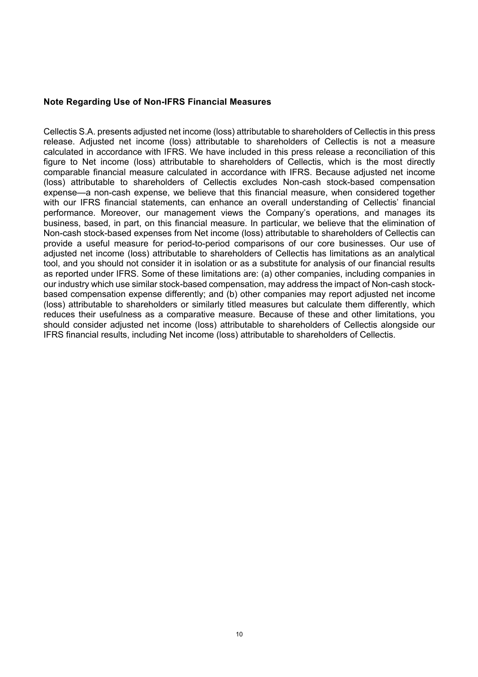#### **Note Regarding Use of Non-IFRS Financial Measures**

Cellectis S.A. presents adjusted net income (loss) attributable to shareholders of Cellectis in this press release. Adjusted net income (loss) attributable to shareholders of Cellectis is not a measure calculated in accordance with IFRS. We have included in this press release a reconciliation of this figure to Net income (loss) attributable to shareholders of Cellectis, which is the most directly comparable financial measure calculated in accordance with IFRS. Because adjusted net income (loss) attributable to shareholders of Cellectis excludes Non-cash stock-based compensation expense—a non-cash expense, we believe that this financial measure, when considered together with our IFRS financial statements, can enhance an overall understanding of Cellectis' financial performance. Moreover, our management views the Company's operations, and manages its business, based, in part, on this financial measure. In particular, we believe that the elimination of Non-cash stock-based expenses from Net income (loss) attributable to shareholders of Cellectis can provide a useful measure for period-to-period comparisons of our core businesses. Our use of adjusted net income (loss) attributable to shareholders of Cellectis has limitations as an analytical tool, and you should not consider it in isolation or as a substitute for analysis of our financial results as reported under IFRS. Some of these limitations are: (a) other companies, including companies in our industry which use similar stock-based compensation, may address the impact of Non-cash stockbased compensation expense differently; and (b) other companies may report adjusted net income (loss) attributable to shareholders or similarly titled measures but calculate them differently, which reduces their usefulness as a comparative measure. Because of these and other limitations, you should consider adjusted net income (loss) attributable to shareholders of Cellectis alongside our IFRS financial results, including Net income (loss) attributable to shareholders of Cellectis.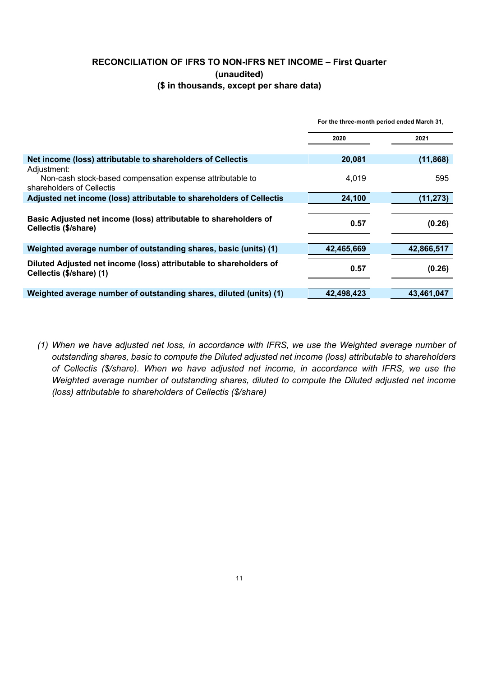## **RECONCILIATION OF IFRS TO NON-IFRS NET INCOME – First Quarter (unaudited) (\$ in thousands, except per share data)**

|                                                                                                       | For the three-month period ended March 31, |            |  |
|-------------------------------------------------------------------------------------------------------|--------------------------------------------|------------|--|
|                                                                                                       | 2020                                       | 2021       |  |
| Net income (loss) attributable to shareholders of Cellectis                                           | 20,081                                     | (11, 868)  |  |
| Adjustment:<br>Non-cash stock-based compensation expense attributable to<br>shareholders of Cellectis | 4,019                                      | 595        |  |
| Adjusted net income (loss) attributable to shareholders of Cellectis                                  | 24,100                                     | (11, 273)  |  |
| Basic Adjusted net income (loss) attributable to shareholders of<br>Cellectis (\$/share)              | 0.57                                       | (0.26)     |  |
| Weighted average number of outstanding shares, basic (units) (1)                                      | 42,465,669                                 | 42,866,517 |  |
| Diluted Adjusted net income (loss) attributable to shareholders of<br>Cellectis (\$/share) (1)        | 0.57                                       | (0.26)     |  |
| Weighted average number of outstanding shares, diluted (units) (1)                                    | 42,498,423                                 | 43,461,047 |  |

*(1) When we have adjusted net loss, in accordance with IFRS, we use the Weighted average number of outstanding shares, basic to compute the Diluted adjusted net income (loss) attributable to shareholders of Cellectis (\$/share). When we have adjusted net income, in accordance with IFRS, we use the Weighted average number of outstanding shares, diluted to compute the Diluted adjusted net income (loss) attributable to shareholders of Cellectis (\$/share)*